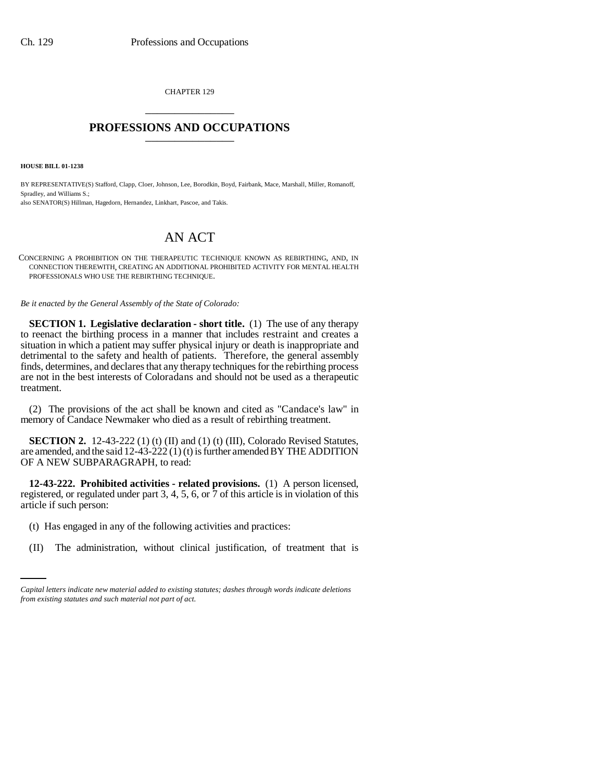CHAPTER 129 \_\_\_\_\_\_\_\_\_\_\_\_\_\_\_

## **PROFESSIONS AND OCCUPATIONS** \_\_\_\_\_\_\_\_\_\_\_\_\_\_\_

**HOUSE BILL 01-1238**

BY REPRESENTATIVE(S) Stafford, Clapp, Cloer, Johnson, Lee, Borodkin, Boyd, Fairbank, Mace, Marshall, Miller, Romanoff, Spradley, and Williams S.; also SENATOR(S) Hillman, Hagedorn, Hernandez, Linkhart, Pascoe, and Takis.

## AN ACT

CONCERNING A PROHIBITION ON THE THERAPEUTIC TECHNIQUE KNOWN AS REBIRTHING, AND, IN CONNECTION THEREWITH, CREATING AN ADDITIONAL PROHIBITED ACTIVITY FOR MENTAL HEALTH PROFESSIONALS WHO USE THE REBIRTHING TECHNIQUE.

*Be it enacted by the General Assembly of the State of Colorado:*

**SECTION 1. Legislative declaration - short title.** (1) The use of any therapy to reenact the birthing process in a manner that includes restraint and creates a situation in which a patient may suffer physical injury or death is inappropriate and detrimental to the safety and health of patients. Therefore, the general assembly finds, determines, and declares that any therapy techniques for the rebirthing process are not in the best interests of Coloradans and should not be used as a therapeutic treatment.

(2) The provisions of the act shall be known and cited as "Candace's law" in memory of Candace Newmaker who died as a result of rebirthing treatment.

**SECTION 2.** 12-43-222 (1) (t) (II) and (1) (t) (III), Colorado Revised Statutes, are amended, and the said 12-43-222 (1) (t) is further amended BY THE ADDITION OF A NEW SUBPARAGRAPH, to read:

**12-43-222. Prohibited activities - related provisions.** (1) A person licensed, registered, or regulated under part 3, 4, 5, 6, or 7 of this article is in violation of this article if such person:

- (t) Has engaged in any of the following activities and practices:
	- (II) The administration, without clinical justification, of treatment that is

*Capital letters indicate new material added to existing statutes; dashes through words indicate deletions from existing statutes and such material not part of act.*